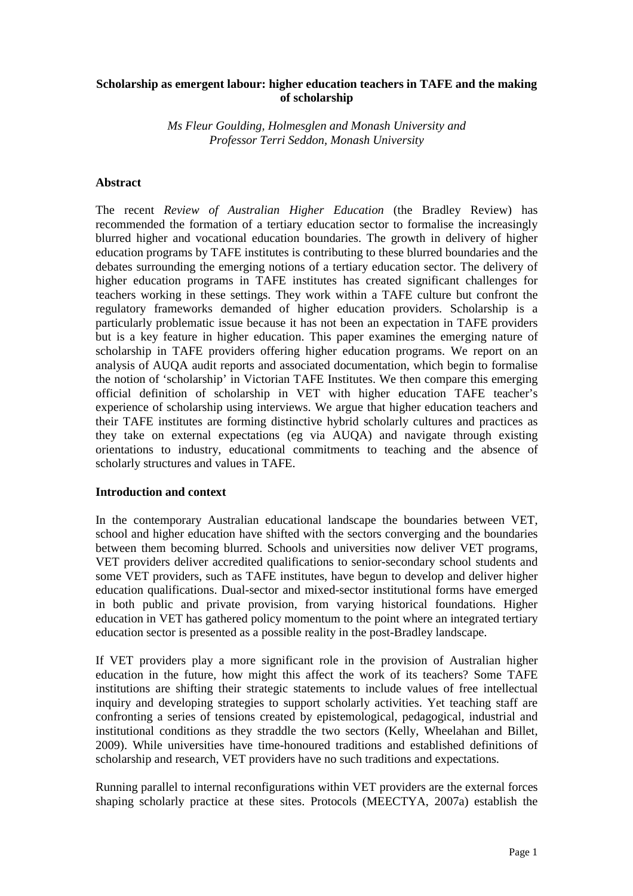# **Scholarship as emergent labour: higher education teachers in TAFE and the making of scholarship**

*Ms Fleur Goulding, Holmesglen and Monash University and Professor Terri Seddon, Monash University* 

#### **Abstract**

The recent *Review of Australian Higher Education* (the Bradley Review) has recommended the formation of a tertiary education sector to formalise the increasingly blurred higher and vocational education boundaries. The growth in delivery of higher education programs by TAFE institutes is contributing to these blurred boundaries and the debates surrounding the emerging notions of a tertiary education sector. The delivery of higher education programs in TAFE institutes has created significant challenges for teachers working in these settings. They work within a TAFE culture but confront the regulatory frameworks demanded of higher education providers. Scholarship is a particularly problematic issue because it has not been an expectation in TAFE providers but is a key feature in higher education. This paper examines the emerging nature of scholarship in TAFE providers offering higher education programs. We report on an analysis of AUQA audit reports and associated documentation, which begin to formalise the notion of 'scholarship' in Victorian TAFE Institutes. We then compare this emerging official definition of scholarship in VET with higher education TAFE teacher's experience of scholarship using interviews. We argue that higher education teachers and their TAFE institutes are forming distinctive hybrid scholarly cultures and practices as they take on external expectations (eg via AUQA) and navigate through existing orientations to industry, educational commitments to teaching and the absence of scholarly structures and values in TAFE.

#### **Introduction and context**

In the contemporary Australian educational landscape the boundaries between VET, school and higher education have shifted with the sectors converging and the boundaries between them becoming blurred. Schools and universities now deliver VET programs, VET providers deliver accredited qualifications to senior-secondary school students and some VET providers, such as TAFE institutes, have begun to develop and deliver higher education qualifications. Dual-sector and mixed-sector institutional forms have emerged in both public and private provision, from varying historical foundations. Higher education in VET has gathered policy momentum to the point where an integrated tertiary education sector is presented as a possible reality in the post-Bradley landscape.

If VET providers play a more significant role in the provision of Australian higher education in the future, how might this affect the work of its teachers? Some TAFE institutions are shifting their strategic statements to include values of free intellectual inquiry and developing strategies to support scholarly activities. Yet teaching staff are confronting a series of tensions created by epistemological, pedagogical, industrial and institutional conditions as they straddle the two sectors (Kelly, Wheelahan and Billet, 2009). While universities have time-honoured traditions and established definitions of scholarship and research, VET providers have no such traditions and expectations.

Running parallel to internal reconfigurations within VET providers are the external forces shaping scholarly practice at these sites. Protocols (MEECTYA, 2007a) establish the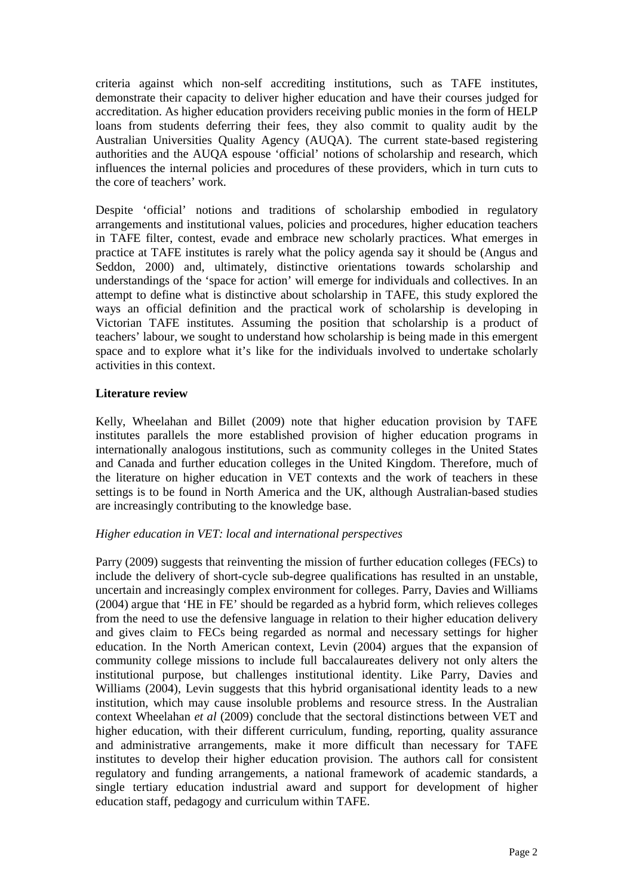criteria against which non-self accrediting institutions, such as TAFE institutes, demonstrate their capacity to deliver higher education and have their courses judged for accreditation. As higher education providers receiving public monies in the form of HELP loans from students deferring their fees, they also commit to quality audit by the Australian Universities Quality Agency (AUQA). The current state-based registering authorities and the AUQA espouse 'official' notions of scholarship and research, which influences the internal policies and procedures of these providers, which in turn cuts to the core of teachers' work.

Despite 'official' notions and traditions of scholarship embodied in regulatory arrangements and institutional values, policies and procedures, higher education teachers in TAFE filter, contest, evade and embrace new scholarly practices. What emerges in practice at TAFE institutes is rarely what the policy agenda say it should be (Angus and Seddon, 2000) and, ultimately, distinctive orientations towards scholarship and understandings of the 'space for action' will emerge for individuals and collectives. In an attempt to define what is distinctive about scholarship in TAFE, this study explored the ways an official definition and the practical work of scholarship is developing in Victorian TAFE institutes. Assuming the position that scholarship is a product of teachers' labour, we sought to understand how scholarship is being made in this emergent space and to explore what it's like for the individuals involved to undertake scholarly activities in this context.

# **Literature review**

Kelly, Wheelahan and Billet (2009) note that higher education provision by TAFE institutes parallels the more established provision of higher education programs in internationally analogous institutions, such as community colleges in the United States and Canada and further education colleges in the United Kingdom. Therefore, much of the literature on higher education in VET contexts and the work of teachers in these settings is to be found in North America and the UK, although Australian-based studies are increasingly contributing to the knowledge base.

# *Higher education in VET: local and international perspectives*

Parry (2009) suggests that reinventing the mission of further education colleges (FECs) to include the delivery of short-cycle sub-degree qualifications has resulted in an unstable, uncertain and increasingly complex environment for colleges. Parry, Davies and Williams (2004) argue that 'HE in FE' should be regarded as a hybrid form, which relieves colleges from the need to use the defensive language in relation to their higher education delivery and gives claim to FECs being regarded as normal and necessary settings for higher education. In the North American context, Levin (2004) argues that the expansion of community college missions to include full baccalaureates delivery not only alters the institutional purpose, but challenges institutional identity. Like Parry, Davies and Williams (2004), Levin suggests that this hybrid organisational identity leads to a new institution, which may cause insoluble problems and resource stress. In the Australian context Wheelahan *et al* (2009) conclude that the sectoral distinctions between VET and higher education, with their different curriculum, funding, reporting, quality assurance and administrative arrangements, make it more difficult than necessary for TAFE institutes to develop their higher education provision. The authors call for consistent regulatory and funding arrangements, a national framework of academic standards, a single tertiary education industrial award and support for development of higher education staff, pedagogy and curriculum within TAFE.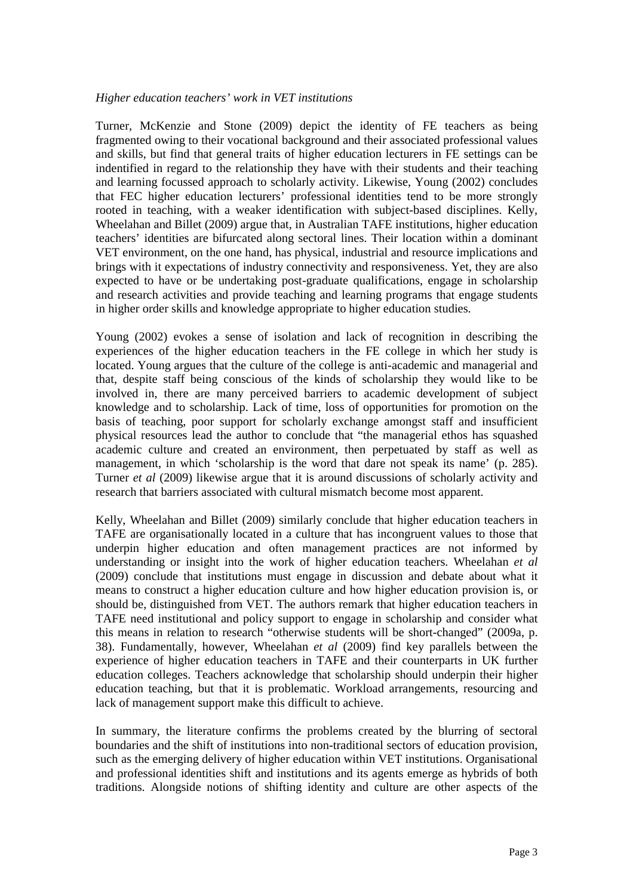#### *Higher education teachers' work in VET institutions*

Turner, McKenzie and Stone (2009) depict the identity of FE teachers as being fragmented owing to their vocational background and their associated professional values and skills, but find that general traits of higher education lecturers in FE settings can be indentified in regard to the relationship they have with their students and their teaching and learning focussed approach to scholarly activity. Likewise, Young (2002) concludes that FEC higher education lecturers' professional identities tend to be more strongly rooted in teaching, with a weaker identification with subject-based disciplines. Kelly, Wheelahan and Billet (2009) argue that, in Australian TAFE institutions, higher education teachers' identities are bifurcated along sectoral lines. Their location within a dominant VET environment, on the one hand, has physical, industrial and resource implications and brings with it expectations of industry connectivity and responsiveness. Yet, they are also expected to have or be undertaking post-graduate qualifications, engage in scholarship and research activities and provide teaching and learning programs that engage students in higher order skills and knowledge appropriate to higher education studies.

Young (2002) evokes a sense of isolation and lack of recognition in describing the experiences of the higher education teachers in the FE college in which her study is located. Young argues that the culture of the college is anti-academic and managerial and that, despite staff being conscious of the kinds of scholarship they would like to be involved in, there are many perceived barriers to academic development of subject knowledge and to scholarship. Lack of time, loss of opportunities for promotion on the basis of teaching, poor support for scholarly exchange amongst staff and insufficient physical resources lead the author to conclude that "the managerial ethos has squashed academic culture and created an environment, then perpetuated by staff as well as management, in which 'scholarship is the word that dare not speak its name' (p. 285). Turner *et al* (2009) likewise argue that it is around discussions of scholarly activity and research that barriers associated with cultural mismatch become most apparent.

Kelly, Wheelahan and Billet (2009) similarly conclude that higher education teachers in TAFE are organisationally located in a culture that has incongruent values to those that underpin higher education and often management practices are not informed by understanding or insight into the work of higher education teachers. Wheelahan *et al* (2009) conclude that institutions must engage in discussion and debate about what it means to construct a higher education culture and how higher education provision is, or should be, distinguished from VET. The authors remark that higher education teachers in TAFE need institutional and policy support to engage in scholarship and consider what this means in relation to research "otherwise students will be short-changed" (2009a, p. 38). Fundamentally, however, Wheelahan *et al* (2009) find key parallels between the experience of higher education teachers in TAFE and their counterparts in UK further education colleges. Teachers acknowledge that scholarship should underpin their higher education teaching, but that it is problematic. Workload arrangements, resourcing and lack of management support make this difficult to achieve.

In summary, the literature confirms the problems created by the blurring of sectoral boundaries and the shift of institutions into non-traditional sectors of education provision, such as the emerging delivery of higher education within VET institutions. Organisational and professional identities shift and institutions and its agents emerge as hybrids of both traditions. Alongside notions of shifting identity and culture are other aspects of the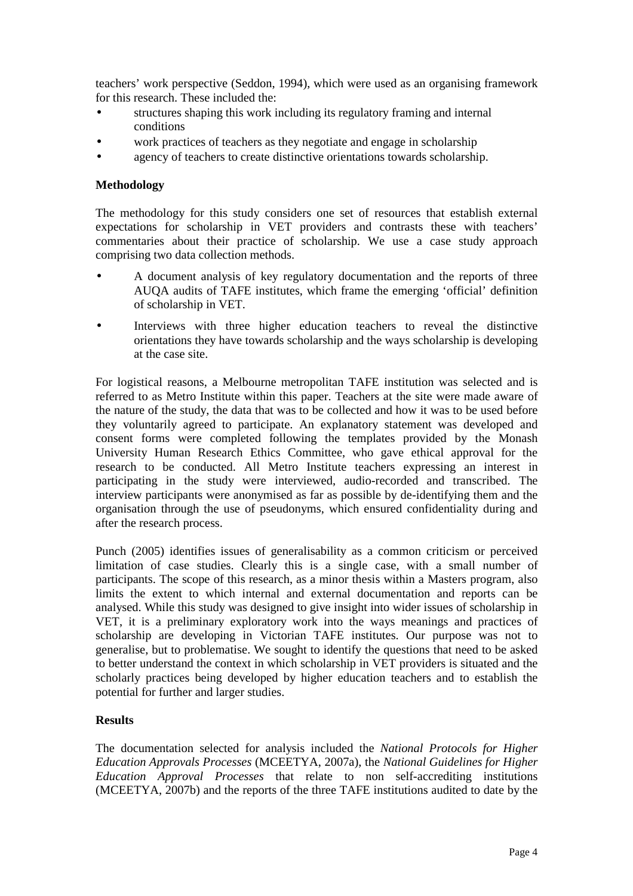teachers' work perspective (Seddon, 1994), which were used as an organising framework for this research. These included the:

- structures shaping this work including its regulatory framing and internal conditions
- work practices of teachers as they negotiate and engage in scholarship
- agency of teachers to create distinctive orientations towards scholarship.

#### **Methodology**

The methodology for this study considers one set of resources that establish external expectations for scholarship in VET providers and contrasts these with teachers' commentaries about their practice of scholarship. We use a case study approach comprising two data collection methods.

- A document analysis of key regulatory documentation and the reports of three AUQA audits of TAFE institutes, which frame the emerging 'official' definition of scholarship in VET.
- Interviews with three higher education teachers to reveal the distinctive orientations they have towards scholarship and the ways scholarship is developing at the case site.

For logistical reasons, a Melbourne metropolitan TAFE institution was selected and is referred to as Metro Institute within this paper. Teachers at the site were made aware of the nature of the study, the data that was to be collected and how it was to be used before they voluntarily agreed to participate. An explanatory statement was developed and consent forms were completed following the templates provided by the Monash University Human Research Ethics Committee, who gave ethical approval for the research to be conducted. All Metro Institute teachers expressing an interest in participating in the study were interviewed, audio-recorded and transcribed. The interview participants were anonymised as far as possible by de-identifying them and the organisation through the use of pseudonyms, which ensured confidentiality during and after the research process.

Punch (2005) identifies issues of generalisability as a common criticism or perceived limitation of case studies. Clearly this is a single case, with a small number of participants. The scope of this research, as a minor thesis within a Masters program, also limits the extent to which internal and external documentation and reports can be analysed. While this study was designed to give insight into wider issues of scholarship in VET, it is a preliminary exploratory work into the ways meanings and practices of scholarship are developing in Victorian TAFE institutes. Our purpose was not to generalise, but to problematise. We sought to identify the questions that need to be asked to better understand the context in which scholarship in VET providers is situated and the scholarly practices being developed by higher education teachers and to establish the potential for further and larger studies.

# **Results**

The documentation selected for analysis included the *National Protocols for Higher Education Approvals Processes* (MCEETYA, 2007a), the *National Guidelines for Higher Education Approval Processes* that relate to non self-accrediting institutions (MCEETYA, 2007b) and the reports of the three TAFE institutions audited to date by the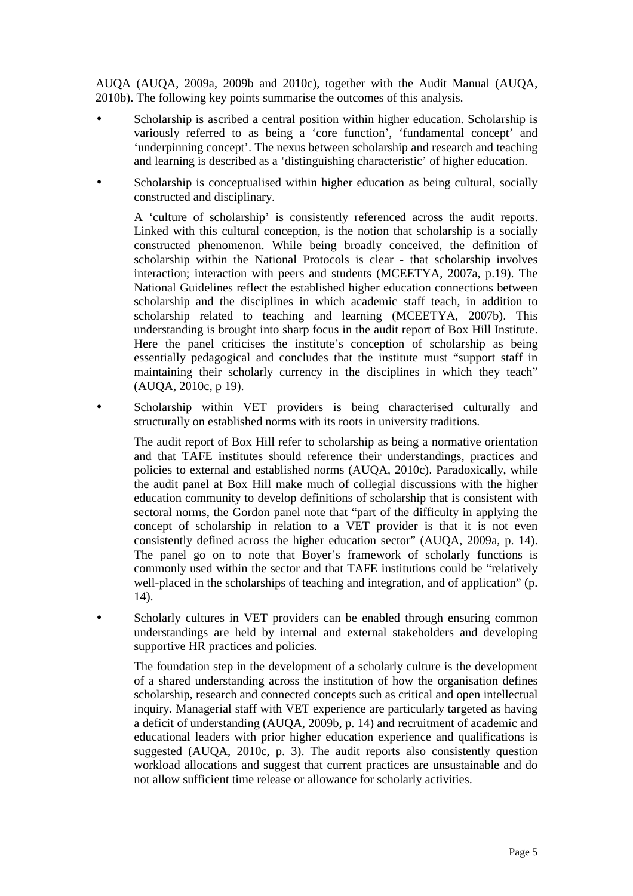AUQA (AUQA, 2009a, 2009b and 2010c), together with the Audit Manual (AUQA, 2010b). The following key points summarise the outcomes of this analysis.

- Scholarship is ascribed a central position within higher education. Scholarship is variously referred to as being a 'core function', 'fundamental concept' and 'underpinning concept'. The nexus between scholarship and research and teaching and learning is described as a 'distinguishing characteristic' of higher education.
- Scholarship is conceptualised within higher education as being cultural, socially constructed and disciplinary.

A 'culture of scholarship' is consistently referenced across the audit reports. Linked with this cultural conception, is the notion that scholarship is a socially constructed phenomenon. While being broadly conceived, the definition of scholarship within the National Protocols is clear - that scholarship involves interaction; interaction with peers and students (MCEETYA, 2007a, p.19). The National Guidelines reflect the established higher education connections between scholarship and the disciplines in which academic staff teach, in addition to scholarship related to teaching and learning (MCEETYA, 2007b). This understanding is brought into sharp focus in the audit report of Box Hill Institute. Here the panel criticises the institute's conception of scholarship as being essentially pedagogical and concludes that the institute must "support staff in maintaining their scholarly currency in the disciplines in which they teach" (AUQA, 2010c, p 19).

Scholarship within VET providers is being characterised culturally and structurally on established norms with its roots in university traditions.

The audit report of Box Hill refer to scholarship as being a normative orientation and that TAFE institutes should reference their understandings, practices and policies to external and established norms (AUQA, 2010c). Paradoxically, while the audit panel at Box Hill make much of collegial discussions with the higher education community to develop definitions of scholarship that is consistent with sectoral norms, the Gordon panel note that "part of the difficulty in applying the concept of scholarship in relation to a VET provider is that it is not even consistently defined across the higher education sector" (AUQA, 2009a, p. 14). The panel go on to note that Boyer's framework of scholarly functions is commonly used within the sector and that TAFE institutions could be "relatively well-placed in the scholarships of teaching and integration, and of application" (p. 14).

Scholarly cultures in VET providers can be enabled through ensuring common understandings are held by internal and external stakeholders and developing supportive HR practices and policies.

The foundation step in the development of a scholarly culture is the development of a shared understanding across the institution of how the organisation defines scholarship, research and connected concepts such as critical and open intellectual inquiry. Managerial staff with VET experience are particularly targeted as having a deficit of understanding (AUQA, 2009b, p. 14) and recruitment of academic and educational leaders with prior higher education experience and qualifications is suggested (AUQA, 2010c, p. 3). The audit reports also consistently question workload allocations and suggest that current practices are unsustainable and do not allow sufficient time release or allowance for scholarly activities.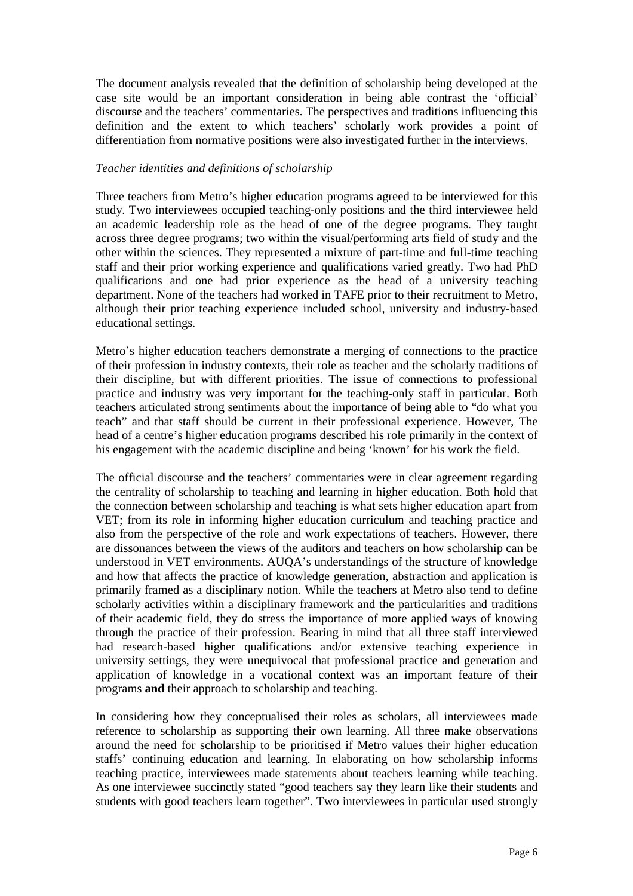The document analysis revealed that the definition of scholarship being developed at the case site would be an important consideration in being able contrast the 'official' discourse and the teachers' commentaries. The perspectives and traditions influencing this definition and the extent to which teachers' scholarly work provides a point of differentiation from normative positions were also investigated further in the interviews.

### *Teacher identities and definitions of scholarship*

Three teachers from Metro's higher education programs agreed to be interviewed for this study. Two interviewees occupied teaching-only positions and the third interviewee held an academic leadership role as the head of one of the degree programs. They taught across three degree programs; two within the visual/performing arts field of study and the other within the sciences. They represented a mixture of part-time and full-time teaching staff and their prior working experience and qualifications varied greatly. Two had PhD qualifications and one had prior experience as the head of a university teaching department. None of the teachers had worked in TAFE prior to their recruitment to Metro, although their prior teaching experience included school, university and industry-based educational settings.

Metro's higher education teachers demonstrate a merging of connections to the practice of their profession in industry contexts, their role as teacher and the scholarly traditions of their discipline, but with different priorities. The issue of connections to professional practice and industry was very important for the teaching-only staff in particular. Both teachers articulated strong sentiments about the importance of being able to "do what you teach" and that staff should be current in their professional experience. However, The head of a centre's higher education programs described his role primarily in the context of his engagement with the academic discipline and being 'known' for his work the field.

The official discourse and the teachers' commentaries were in clear agreement regarding the centrality of scholarship to teaching and learning in higher education. Both hold that the connection between scholarship and teaching is what sets higher education apart from VET; from its role in informing higher education curriculum and teaching practice and also from the perspective of the role and work expectations of teachers. However, there are dissonances between the views of the auditors and teachers on how scholarship can be understood in VET environments. AUQA's understandings of the structure of knowledge and how that affects the practice of knowledge generation, abstraction and application is primarily framed as a disciplinary notion. While the teachers at Metro also tend to define scholarly activities within a disciplinary framework and the particularities and traditions of their academic field, they do stress the importance of more applied ways of knowing through the practice of their profession. Bearing in mind that all three staff interviewed had research-based higher qualifications and/or extensive teaching experience in university settings, they were unequivocal that professional practice and generation and application of knowledge in a vocational context was an important feature of their programs **and** their approach to scholarship and teaching.

In considering how they conceptualised their roles as scholars, all interviewees made reference to scholarship as supporting their own learning. All three make observations around the need for scholarship to be prioritised if Metro values their higher education staffs' continuing education and learning. In elaborating on how scholarship informs teaching practice, interviewees made statements about teachers learning while teaching. As one interviewee succinctly stated "good teachers say they learn like their students and students with good teachers learn together". Two interviewees in particular used strongly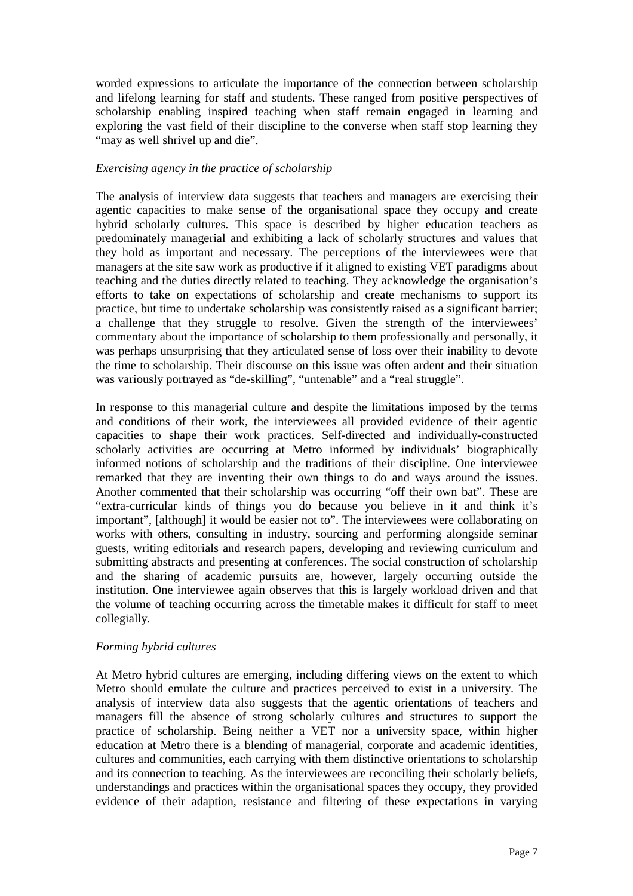worded expressions to articulate the importance of the connection between scholarship and lifelong learning for staff and students. These ranged from positive perspectives of scholarship enabling inspired teaching when staff remain engaged in learning and exploring the vast field of their discipline to the converse when staff stop learning they "may as well shrivel up and die".

# *Exercising agency in the practice of scholarship*

The analysis of interview data suggests that teachers and managers are exercising their agentic capacities to make sense of the organisational space they occupy and create hybrid scholarly cultures. This space is described by higher education teachers as predominately managerial and exhibiting a lack of scholarly structures and values that they hold as important and necessary. The perceptions of the interviewees were that managers at the site saw work as productive if it aligned to existing VET paradigms about teaching and the duties directly related to teaching. They acknowledge the organisation's efforts to take on expectations of scholarship and create mechanisms to support its practice, but time to undertake scholarship was consistently raised as a significant barrier; a challenge that they struggle to resolve. Given the strength of the interviewees' commentary about the importance of scholarship to them professionally and personally, it was perhaps unsurprising that they articulated sense of loss over their inability to devote the time to scholarship. Their discourse on this issue was often ardent and their situation was variously portrayed as "de-skilling", "untenable" and a "real struggle".

In response to this managerial culture and despite the limitations imposed by the terms and conditions of their work, the interviewees all provided evidence of their agentic capacities to shape their work practices. Self-directed and individually-constructed scholarly activities are occurring at Metro informed by individuals' biographically informed notions of scholarship and the traditions of their discipline. One interviewee remarked that they are inventing their own things to do and ways around the issues. Another commented that their scholarship was occurring "off their own bat". These are "extra-curricular kinds of things you do because you believe in it and think it's important", [although] it would be easier not to". The interviewees were collaborating on works with others, consulting in industry, sourcing and performing alongside seminar guests, writing editorials and research papers, developing and reviewing curriculum and submitting abstracts and presenting at conferences. The social construction of scholarship and the sharing of academic pursuits are, however, largely occurring outside the institution. One interviewee again observes that this is largely workload driven and that the volume of teaching occurring across the timetable makes it difficult for staff to meet collegially.

#### *Forming hybrid cultures*

At Metro hybrid cultures are emerging, including differing views on the extent to which Metro should emulate the culture and practices perceived to exist in a university. The analysis of interview data also suggests that the agentic orientations of teachers and managers fill the absence of strong scholarly cultures and structures to support the practice of scholarship. Being neither a VET nor a university space, within higher education at Metro there is a blending of managerial, corporate and academic identities, cultures and communities, each carrying with them distinctive orientations to scholarship and its connection to teaching. As the interviewees are reconciling their scholarly beliefs, understandings and practices within the organisational spaces they occupy, they provided evidence of their adaption, resistance and filtering of these expectations in varying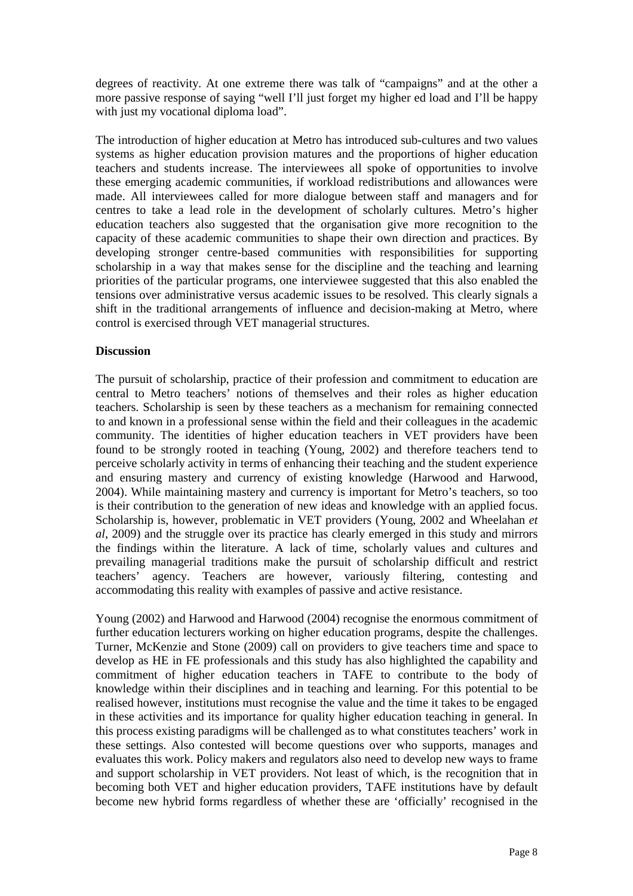degrees of reactivity. At one extreme there was talk of "campaigns" and at the other a more passive response of saying "well I'll just forget my higher ed load and I'll be happy with just my vocational diploma load".

The introduction of higher education at Metro has introduced sub-cultures and two values systems as higher education provision matures and the proportions of higher education teachers and students increase. The interviewees all spoke of opportunities to involve these emerging academic communities, if workload redistributions and allowances were made. All interviewees called for more dialogue between staff and managers and for centres to take a lead role in the development of scholarly cultures. Metro's higher education teachers also suggested that the organisation give more recognition to the capacity of these academic communities to shape their own direction and practices. By developing stronger centre-based communities with responsibilities for supporting scholarship in a way that makes sense for the discipline and the teaching and learning priorities of the particular programs, one interviewee suggested that this also enabled the tensions over administrative versus academic issues to be resolved. This clearly signals a shift in the traditional arrangements of influence and decision-making at Metro, where control is exercised through VET managerial structures.

#### **Discussion**

The pursuit of scholarship, practice of their profession and commitment to education are central to Metro teachers' notions of themselves and their roles as higher education teachers. Scholarship is seen by these teachers as a mechanism for remaining connected to and known in a professional sense within the field and their colleagues in the academic community. The identities of higher education teachers in VET providers have been found to be strongly rooted in teaching (Young, 2002) and therefore teachers tend to perceive scholarly activity in terms of enhancing their teaching and the student experience and ensuring mastery and currency of existing knowledge (Harwood and Harwood, 2004). While maintaining mastery and currency is important for Metro's teachers, so too is their contribution to the generation of new ideas and knowledge with an applied focus. Scholarship is, however, problematic in VET providers (Young, 2002 and Wheelahan *et al*, 2009) and the struggle over its practice has clearly emerged in this study and mirrors the findings within the literature. A lack of time, scholarly values and cultures and prevailing managerial traditions make the pursuit of scholarship difficult and restrict teachers' agency. Teachers are however, variously filtering, contesting and accommodating this reality with examples of passive and active resistance.

Young (2002) and Harwood and Harwood (2004) recognise the enormous commitment of further education lecturers working on higher education programs, despite the challenges. Turner, McKenzie and Stone (2009) call on providers to give teachers time and space to develop as HE in FE professionals and this study has also highlighted the capability and commitment of higher education teachers in TAFE to contribute to the body of knowledge within their disciplines and in teaching and learning. For this potential to be realised however, institutions must recognise the value and the time it takes to be engaged in these activities and its importance for quality higher education teaching in general. In this process existing paradigms will be challenged as to what constitutes teachers' work in these settings. Also contested will become questions over who supports, manages and evaluates this work. Policy makers and regulators also need to develop new ways to frame and support scholarship in VET providers. Not least of which, is the recognition that in becoming both VET and higher education providers, TAFE institutions have by default become new hybrid forms regardless of whether these are 'officially' recognised in the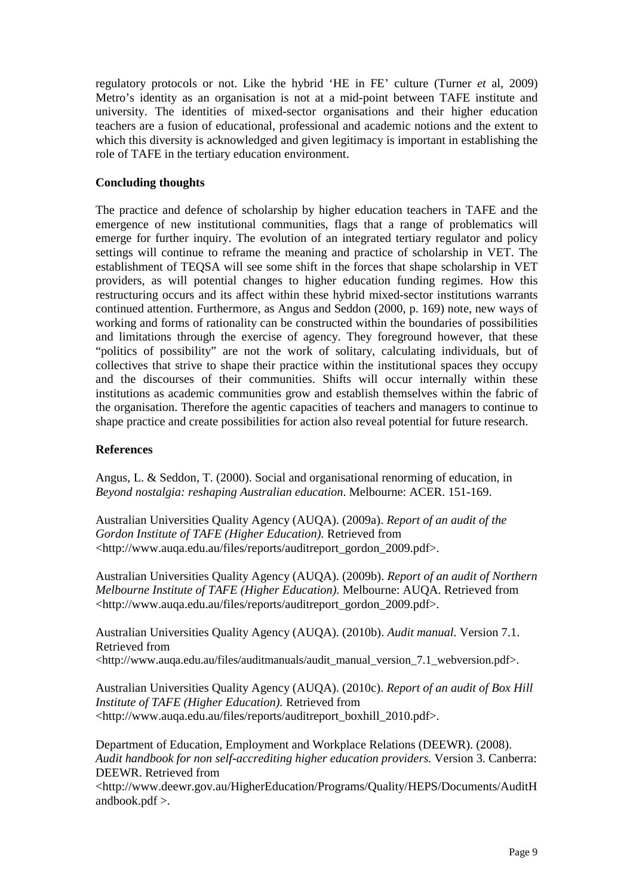regulatory protocols or not. Like the hybrid 'HE in FE' culture (Turner *et* al, 2009) Metro's identity as an organisation is not at a mid-point between TAFE institute and university. The identities of mixed-sector organisations and their higher education teachers are a fusion of educational, professional and academic notions and the extent to which this diversity is acknowledged and given legitimacy is important in establishing the role of TAFE in the tertiary education environment.

# **Concluding thoughts**

The practice and defence of scholarship by higher education teachers in TAFE and the emergence of new institutional communities, flags that a range of problematics will emerge for further inquiry. The evolution of an integrated tertiary regulator and policy settings will continue to reframe the meaning and practice of scholarship in VET. The establishment of TEQSA will see some shift in the forces that shape scholarship in VET providers, as will potential changes to higher education funding regimes. How this restructuring occurs and its affect within these hybrid mixed-sector institutions warrants continued attention. Furthermore, as Angus and Seddon (2000, p. 169) note, new ways of working and forms of rationality can be constructed within the boundaries of possibilities and limitations through the exercise of agency. They foreground however, that these "politics of possibility" are not the work of solitary, calculating individuals, but of collectives that strive to shape their practice within the institutional spaces they occupy and the discourses of their communities. Shifts will occur internally within these institutions as academic communities grow and establish themselves within the fabric of the organisation. Therefore the agentic capacities of teachers and managers to continue to shape practice and create possibilities for action also reveal potential for future research.

### **References**

Angus, L. & Seddon, T. (2000). Social and organisational renorming of education, in *Beyond nostalgia: reshaping Australian education*. Melbourne: ACER. 151-169.

Australian Universities Quality Agency (AUQA). (2009a). *Report of an audit of the Gordon Institute of TAFE (Higher Education).* Retrieved from <http://www.auqa.edu.au/files/reports/auditreport\_gordon\_2009.pdf>.

Australian Universities Quality Agency (AUQA). (2009b). *Report of an audit of Northern Melbourne Institute of TAFE (Higher Education).* Melbourne: AUQA. Retrieved from <http://www.auqa.edu.au/files/reports/auditreport\_gordon\_2009.pdf>.

Australian Universities Quality Agency (AUQA). (2010b). *Audit manual.* Version 7.1. Retrieved from

<http://www.auqa.edu.au/files/auditmanuals/audit\_manual\_version\_7.1\_webversion.pdf>.

Australian Universities Quality Agency (AUQA). (2010c). *Report of an audit of Box Hill Institute of TAFE (Higher Education).* Retrieved from <http://www.auqa.edu.au/files/reports/auditreport\_boxhill\_2010.pdf>.

Department of Education, Employment and Workplace Relations (DEEWR). (2008). *Audit handbook for non self-accrediting higher education providers.* Version 3. Canberra: DEEWR. Retrieved from

<http://www.deewr.gov.au/HigherEducation/Programs/Quality/HEPS/Documents/AuditH andbook.pdf >.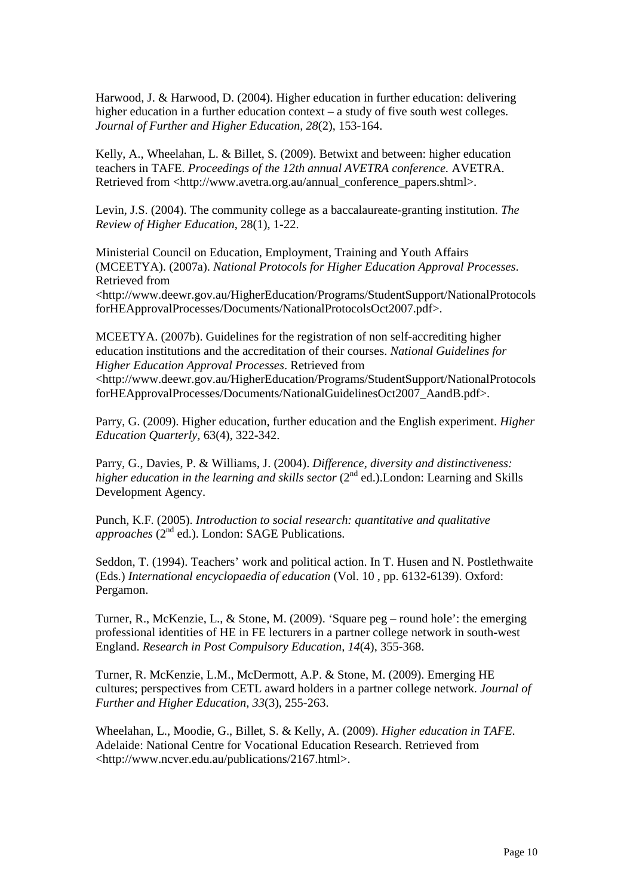Harwood, J. & Harwood, D. (2004). Higher education in further education: delivering higher education in a further education context – a study of five south west colleges. *Journal of Further and Higher Education, 28*(2), 153-164.

Kelly, A., Wheelahan, L. & Billet, S. (2009). Betwixt and between: higher education teachers in TAFE. *Proceedings of the 12th annual AVETRA conference.* AVETRA. Retrieved from <http://www.avetra.org.au/annual\_conference\_papers.shtml>.

Levin, J.S. (2004). The community college as a baccalaureate-granting institution. *The Review of Higher Education*, 28(1), 1-22.

Ministerial Council on Education, Employment, Training and Youth Affairs (MCEETYA). (2007a). *National Protocols for Higher Education Approval Processes*. Retrieved from

<http://www.deewr.gov.au/HigherEducation/Programs/StudentSupport/NationalProtocols forHEApprovalProcesses/Documents/NationalProtocolsOct2007.pdf>.

MCEETYA. (2007b). Guidelines for the registration of non self-accrediting higher education institutions and the accreditation of their courses. *National Guidelines for Higher Education Approval Processes*. Retrieved from <http://www.deewr.gov.au/HigherEducation/Programs/StudentSupport/NationalProtocols forHEApprovalProcesses/Documents/NationalGuidelinesOct2007\_AandB.pdf>.

Parry, G. (2009). Higher education, further education and the English experiment. *Higher Education Quarterly,* 63(4), 322-342.

Parry, G., Davies, P. & Williams, J. (2004). *Difference, diversity and distinctiveness: higher education in the learning and skills sector* (2<sup>nd</sup> ed.).London: Learning and Skills Development Agency.

Punch, K.F. (2005). *Introduction to social research: quantitative and qualitative approaches* (2<sup>nd</sup> ed.). London: SAGE Publications.

Seddon, T. (1994). Teachers' work and political action. In T. Husen and N. Postlethwaite (Eds.) *International encyclopaedia of education* (Vol. 10 , pp. 6132-6139). Oxford: Pergamon.

Turner, R., McKenzie, L., & Stone, M. (2009). 'Square peg – round hole': the emerging professional identities of HE in FE lecturers in a partner college network in south-west England. *Research in Post Compulsory Education, 14*(4), 355-368.

Turner, R. McKenzie, L.M., McDermott, A.P. & Stone, M. (2009). Emerging HE cultures; perspectives from CETL award holders in a partner college network. *Journal of Further and Higher Education, 33*(3), 255-263.

Wheelahan, L., Moodie, G., Billet, S. & Kelly, A. (2009). *Higher education in TAFE.* Adelaide: National Centre for Vocational Education Research. Retrieved from <http://www.ncver.edu.au/publications/2167.html>.